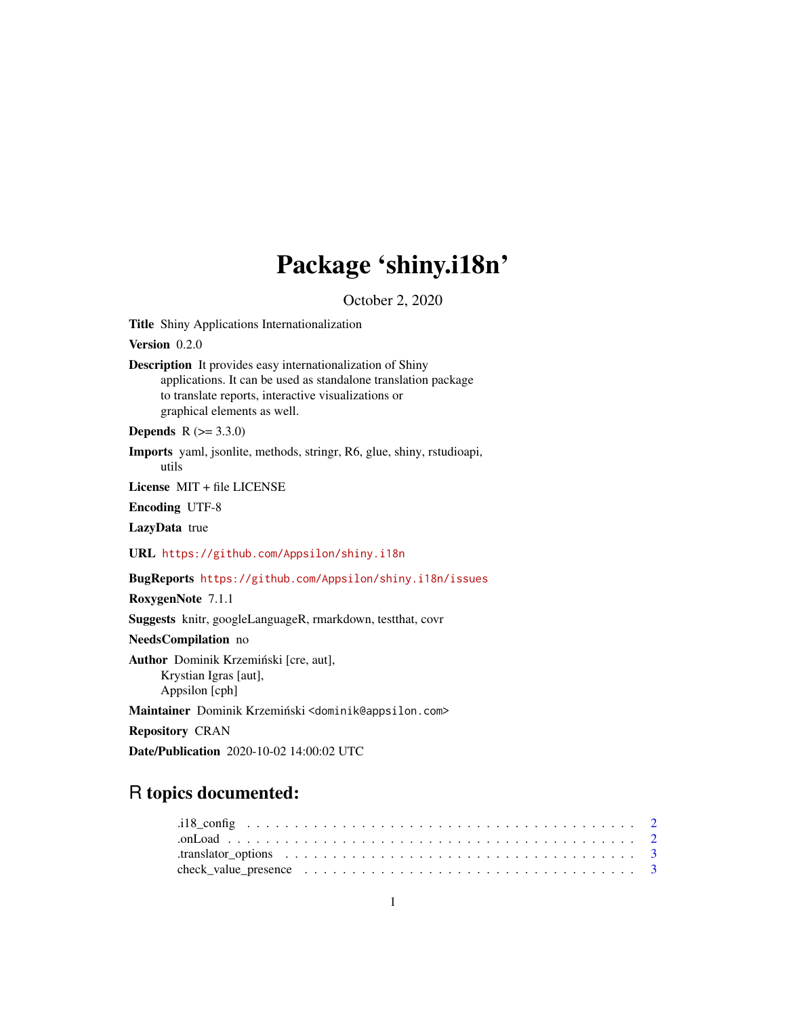# Package 'shiny.i18n'

October 2, 2020

Title Shiny Applications Internationalization

Version 0.2.0

Description It provides easy internationalization of Shiny applications. It can be used as standalone translation package to translate reports, interactive visualizations or graphical elements as well.

**Depends**  $R (= 3.3.0)$ 

Imports yaml, jsonlite, methods, stringr, R6, glue, shiny, rstudioapi, utils

License MIT + file LICENSE

Encoding UTF-8

LazyData true

URL <https://github.com/Appsilon/shiny.i18n>

BugReports <https://github.com/Appsilon/shiny.i18n/issues>

RoxygenNote 7.1.1

Suggests knitr, googleLanguageR, rmarkdown, testthat, covr

NeedsCompilation no

Author Dominik Krzemiński [cre, aut], Krystian Igras [aut], Appsilon [cph]

Maintainer Dominik Krzemiński <dominik@appsilon.com>

Repository CRAN

Date/Publication 2020-10-02 14:00:02 UTC

# R topics documented:

| .translator_options $\ldots \ldots \ldots \ldots \ldots \ldots \ldots \ldots \ldots \ldots \ldots \ldots$  |  |  |  |  |  |  |  |  |  |  |  |  |  |  |  |  |
|------------------------------------------------------------------------------------------------------------|--|--|--|--|--|--|--|--|--|--|--|--|--|--|--|--|
| check_value_presence $\ldots \ldots \ldots \ldots \ldots \ldots \ldots \ldots \ldots \ldots \ldots \ldots$ |  |  |  |  |  |  |  |  |  |  |  |  |  |  |  |  |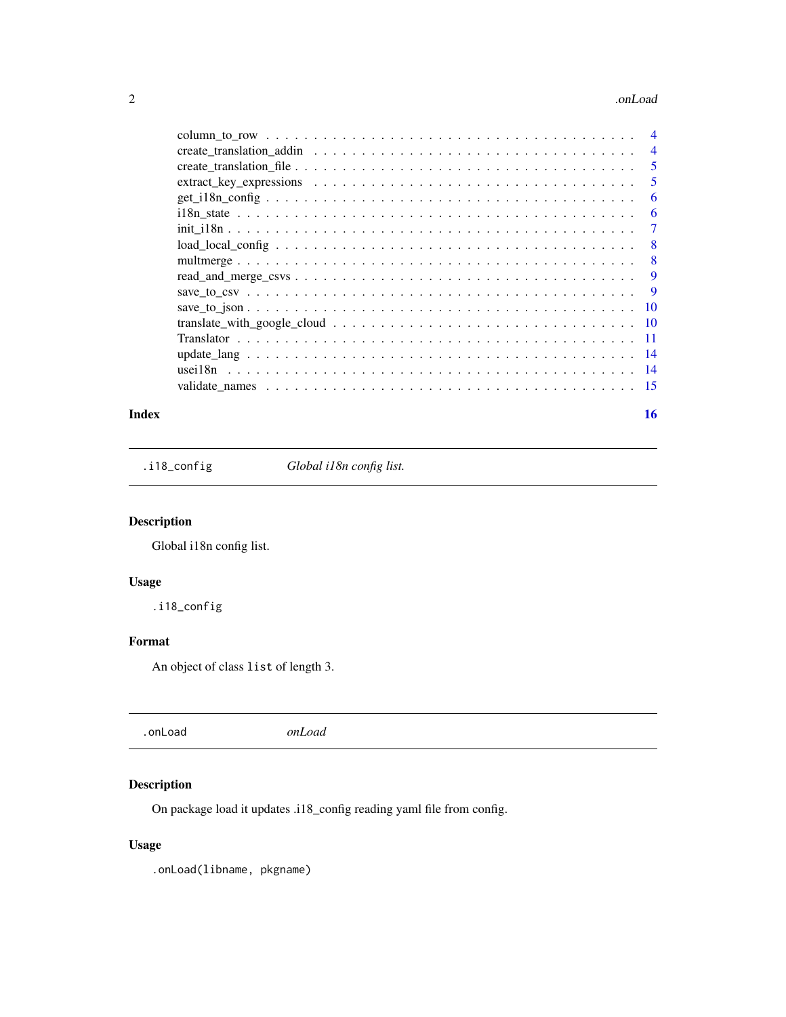#### <span id="page-1-0"></span>2 . Concluded to the contract of the conclusion of the conclusion of the conclusion of the conclusion of the conclusion of the conclusion of the conclusion of the conclusion of the conclusion of the conclusion of the concl

|  | $\overline{4}$ |
|--|----------------|
|  | 5              |
|  | 5              |
|  | 6              |
|  | 6              |
|  | 7              |
|  | 8              |
|  | 8              |
|  | 9              |
|  | 9              |
|  | -10            |
|  |                |
|  |                |
|  |                |
|  |                |
|  |                |
|  |                |

#### **Index** and the contract of the contract of the contract of the contract of the contract of the contract of the contract of the contract of the contract of the contract of the contract of the contract of the contract of th

.i18\_config *Global i18n config list.*

# Description

Global i18n config list.

# Usage

.i18\_config

# Format

An object of class list of length 3.

# Description

On package load it updates .i18\_config reading yaml file from config.

# Usage

.onLoad(libname, pkgname)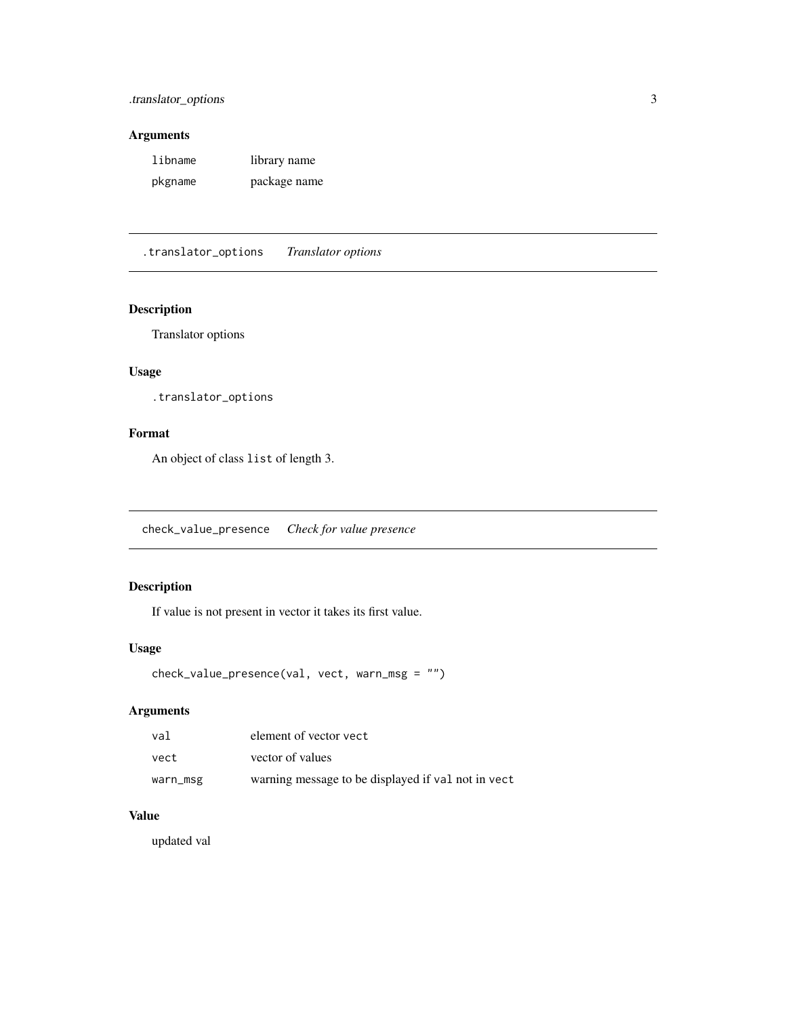# <span id="page-2-0"></span>Arguments

| libname | library name |
|---------|--------------|
| pkgname | package name |

.translator\_options *Translator options*

## Description

Translator options

# Usage

.translator\_options

#### Format

An object of class list of length 3.

check\_value\_presence *Check for value presence*

# Description

If value is not present in vector it takes its first value.

## Usage

```
check_value_presence(val, vect, warn_msg = "")
```
# Arguments

| val      | element of vector yect                             |
|----------|----------------------------------------------------|
| vect     | vector of values                                   |
| warn_msg | warning message to be displayed if val not in vect |

### Value

updated val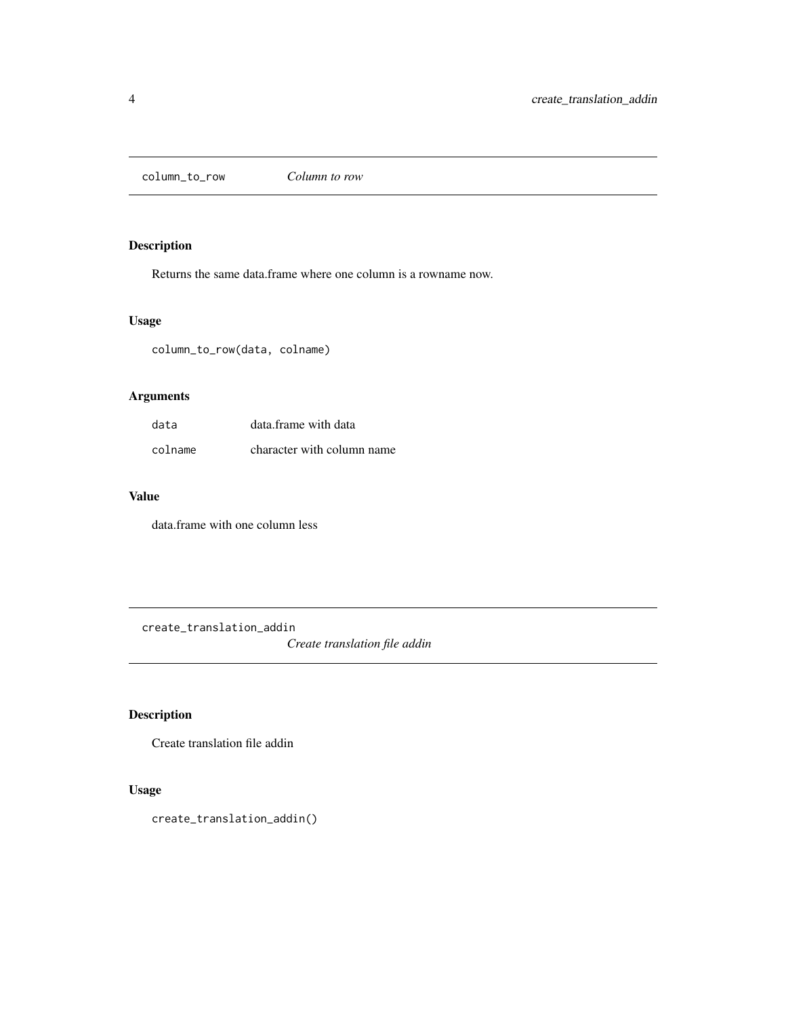<span id="page-3-0"></span>column\_to\_row *Column to row*

# Description

Returns the same data.frame where one column is a rowname now.

#### Usage

column\_to\_row(data, colname)

# Arguments

| data    | data frame with data       |
|---------|----------------------------|
| colname | character with column name |

# Value

data.frame with one column less

create\_translation\_addin

*Create translation file addin*

# Description

Create translation file addin

## Usage

```
create_translation_addin()
```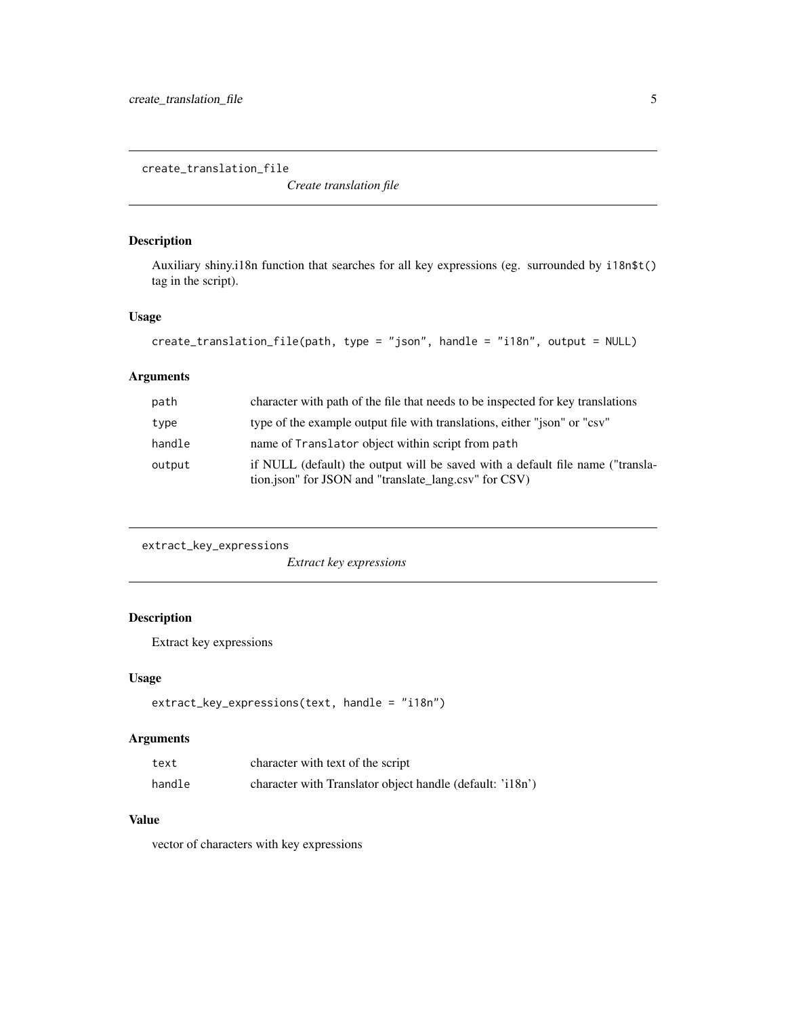<span id="page-4-0"></span>create\_translation\_file

*Create translation file*

# Description

Auxiliary shiny.i18n function that searches for all key expressions (eg. surrounded by i18n\$t() tag in the script).

## Usage

```
create_translation_file(path, type = "json", handle = "i18n", output = NULL)
```
#### Arguments

| path   | character with path of the file that needs to be inspected for key translations                                                         |
|--------|-----------------------------------------------------------------------------------------------------------------------------------------|
| type   | type of the example output file with translations, either "json" or "csv"                                                               |
| handle | name of Translator object within script from path                                                                                       |
| output | if NULL (default) the output will be saved with a default file name ("transla-<br>tion.json" for JSON and "translate_lang.csv" for CSV) |

```
extract_key_expressions
```
*Extract key expressions*

## Description

Extract key expressions

## Usage

```
extract_key_expressions(text, handle = "i18n")
```
# Arguments

| text   | character with text of the script                         |
|--------|-----------------------------------------------------------|
| handle | character with Translator object handle (default: 'i18n') |

# Value

vector of characters with key expressions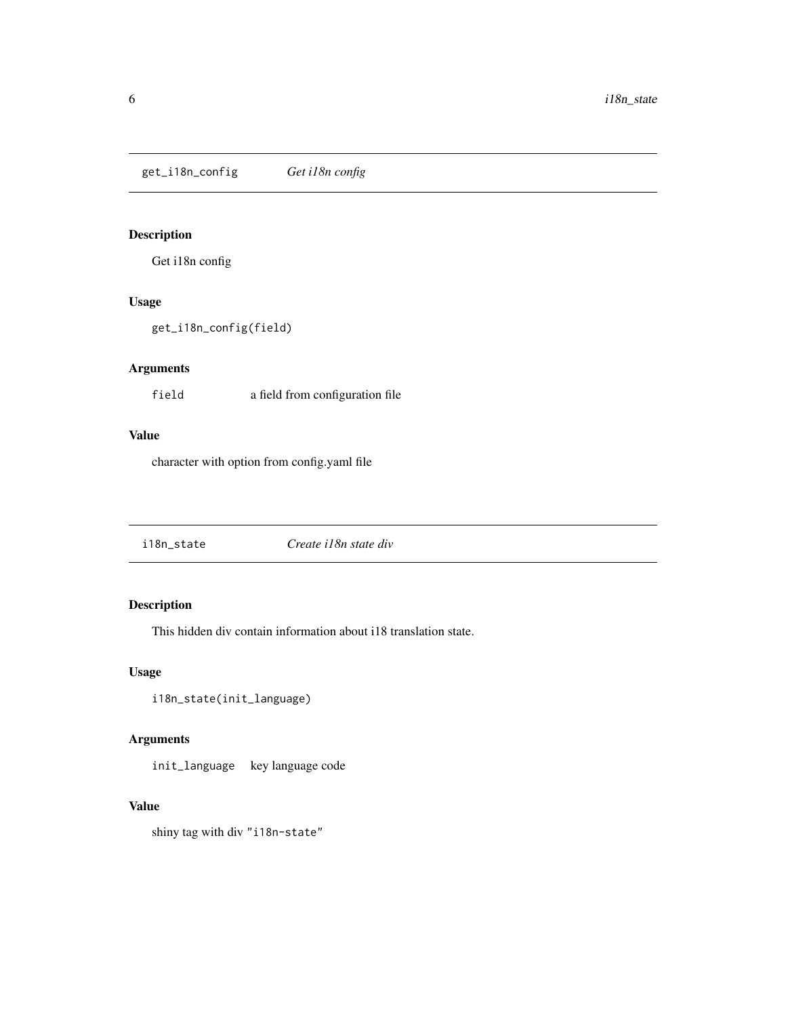<span id="page-5-0"></span>get\_i18n\_config *Get i18n config*

# Description

Get i18n config

#### Usage

get\_i18n\_config(field)

# Arguments

field a field from configuration file

# Value

character with option from config.yaml file

| i18n state | Create i18n state div |
|------------|-----------------------|
|------------|-----------------------|

# Description

This hidden div contain information about i18 translation state.

#### Usage

```
i18n_state(init_language)
```
## Arguments

init\_language key language code

# Value

shiny tag with div "i18n-state"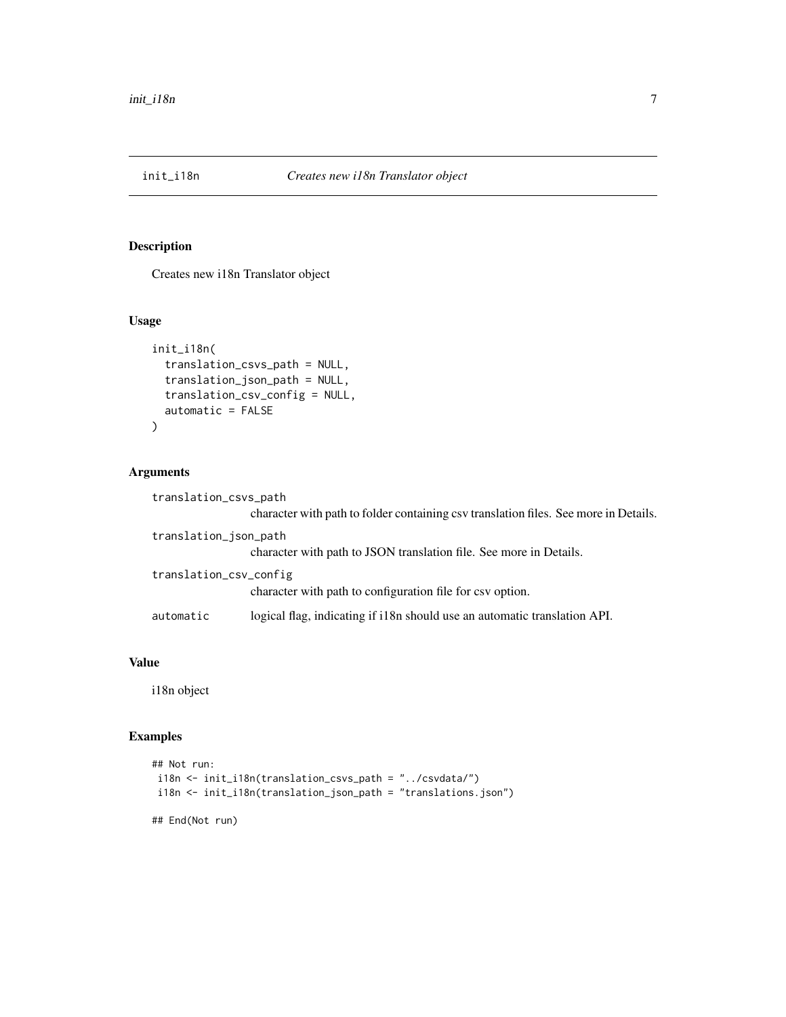<span id="page-6-0"></span>

## Description

Creates new i18n Translator object

#### Usage

```
init_i18n(
  translation_csvs_path = NULL,
  translation_json_path = NULL,
  translation_csv_config = NULL,
  automatic = FALSE
\mathcal{L}
```
## Arguments

| translation_csvs_path  |                                                                                      |
|------------------------|--------------------------------------------------------------------------------------|
|                        | character with path to folder containing csv translation files. See more in Details. |
| translation_json_path  |                                                                                      |
|                        | character with path to JSON translation file. See more in Details.                   |
| translation_csv_config |                                                                                      |
|                        | character with path to configuration file for csv option.                            |
| automatic              | logical flag, indicating if i18n should use an automatic translation API.            |

#### Value

i18n object

# Examples

```
## Not run:
i18n <- init_i18n(translation_csvs_path = "../csvdata/")
i18n <- init_i18n(translation_json_path = "translations.json")
```
## End(Not run)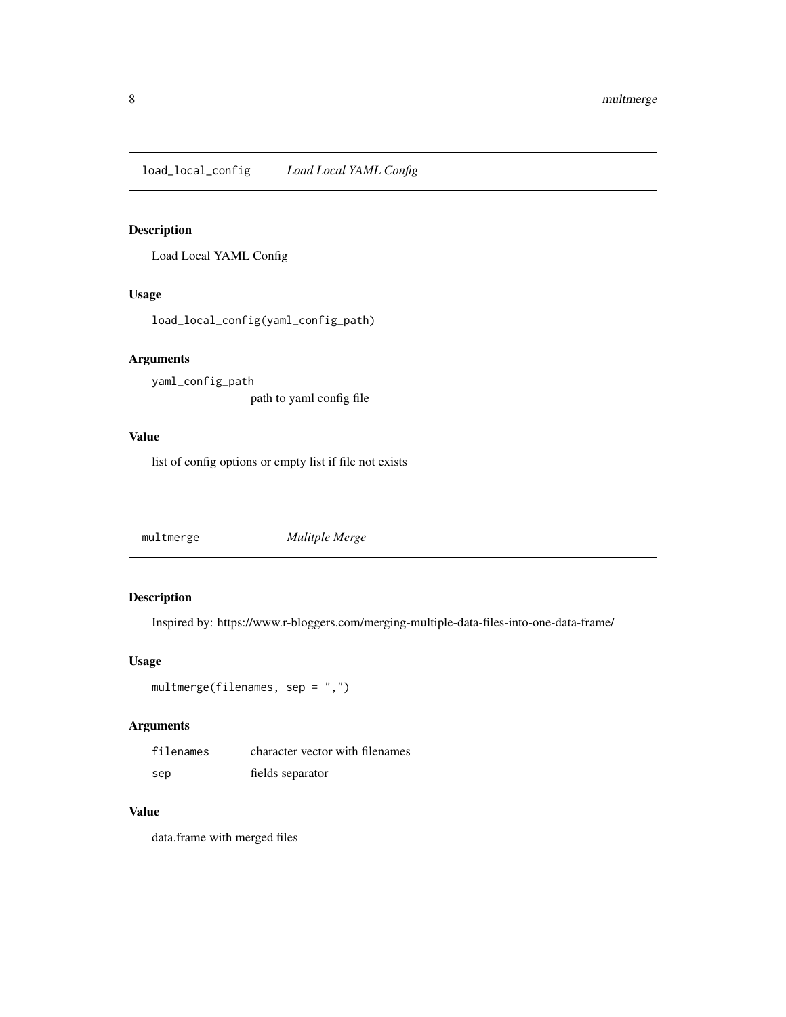<span id="page-7-0"></span>load\_local\_config *Load Local YAML Config*

## Description

Load Local YAML Config

#### Usage

load\_local\_config(yaml\_config\_path)

#### Arguments

yaml\_config\_path path to yaml config file

#### Value

list of config options or empty list if file not exists

multmerge *Mulitple Merge*

## Description

Inspired by: https://www.r-bloggers.com/merging-multiple-data-files-into-one-data-frame/

## Usage

```
multmerge(filenames, sep = ",")
```
## Arguments

| filenames | character vector with filenames |
|-----------|---------------------------------|
| sep       | fields separator                |

#### Value

data.frame with merged files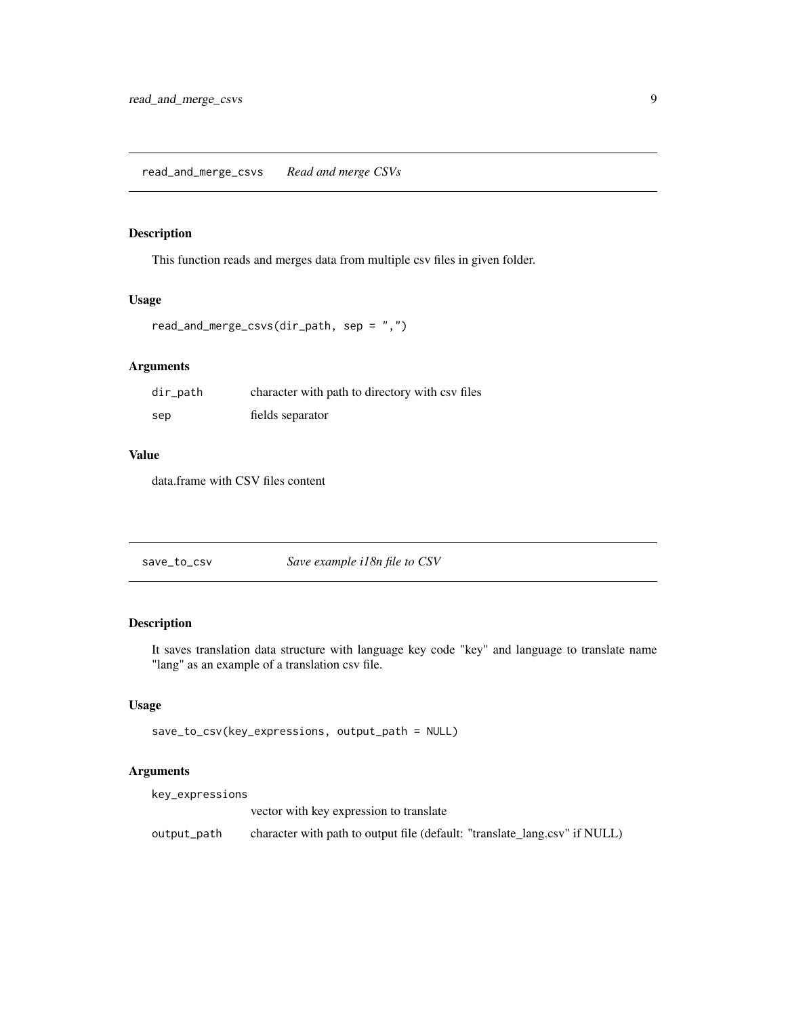#### <span id="page-8-0"></span>read\_and\_merge\_csvs *Read and merge CSVs*

#### Description

This function reads and merges data from multiple csv files in given folder.

#### Usage

```
read_and_merge_csvs(dir_path, sep = ",")
```
# Arguments

| $dir$ _path | character with path to directory with csy files |
|-------------|-------------------------------------------------|
| sep         | fields separator                                |

#### Value

data.frame with CSV files content

| Save example i18n file to CSV<br>save_to_csv |
|----------------------------------------------|
|----------------------------------------------|

# Description

It saves translation data structure with language key code "key" and language to translate name "lang" as an example of a translation csv file.

### Usage

```
save_to_csv(key_expressions, output_path = NULL)
```
# Arguments

| key_expressions |                                                                            |
|-----------------|----------------------------------------------------------------------------|
|                 | vector with key expression to translate                                    |
| output_path     | character with path to output file (default: "translate_lang.csv" if NULL) |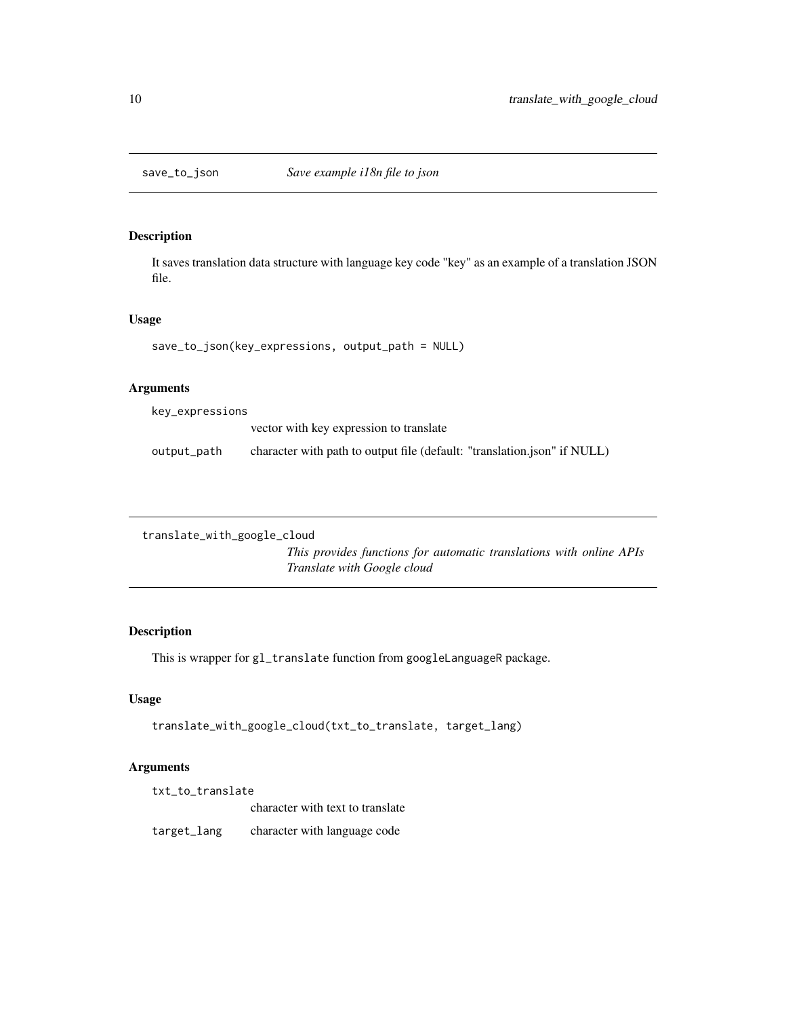## Description

It saves translation data structure with language key code "key" as an example of a translation JSON file.

#### Usage

```
save_to_json(key_expressions, output_path = NULL)
```
## Arguments

key\_expressions

|             | vector with key expression to translate                                  |
|-------------|--------------------------------------------------------------------------|
| output_path | character with path to output file (default: "translation.json" if NULL) |

```
translate_with_google_cloud
```
*This provides functions for automatic translations with online APIs Translate with Google cloud*

## Description

This is wrapper for gl\_translate function from googleLanguageR package.

# Usage

```
translate_with_google_cloud(txt_to_translate, target_lang)
```
# Arguments

| txt to translate |                                  |  |  |  |
|------------------|----------------------------------|--|--|--|
|                  | character with text to translate |  |  |  |
| target_lang      | character with language code     |  |  |  |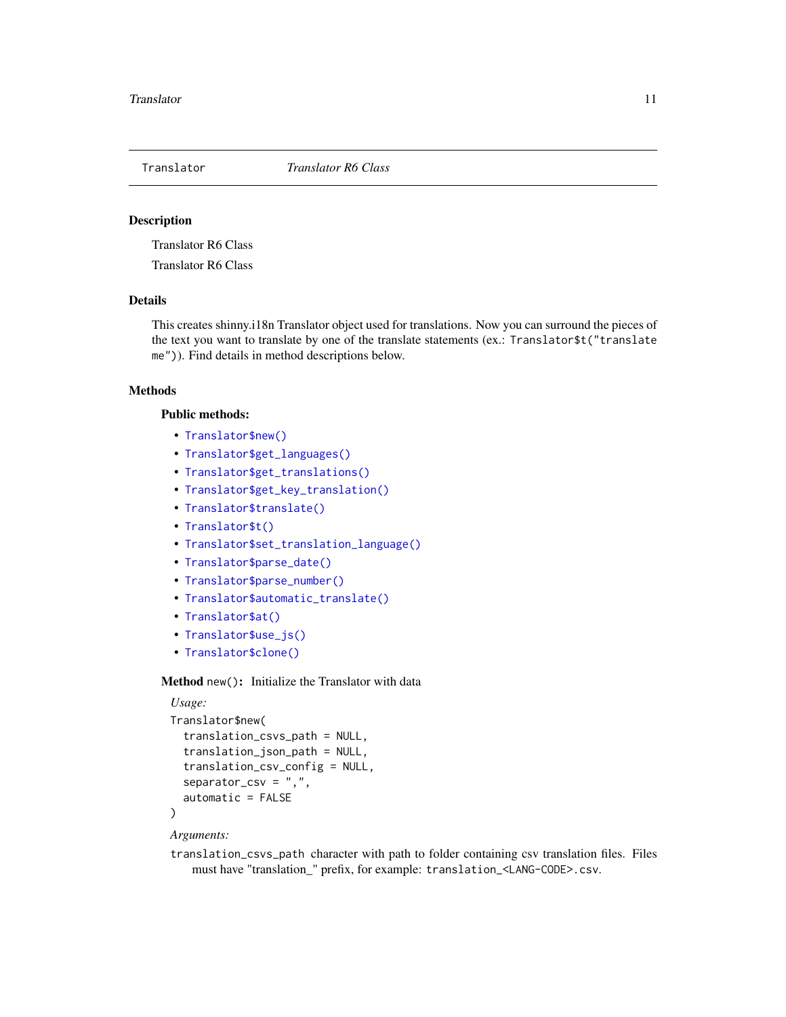<span id="page-10-0"></span>

#### Description

Translator R6 Class

Translator R6 Class

### Details

This creates shinny.i18n Translator object used for translations. Now you can surround the pieces of the text you want to translate by one of the translate statements (ex.: Translator\$t("translate me")). Find details in method descriptions below.

#### **Methods**

#### Public methods:

- [Translator\\$new\(\)](#page-10-1)
- [Translator\\$get\\_languages\(\)](#page-11-0)
- [Translator\\$get\\_translations\(\)](#page-11-1)
- [Translator\\$get\\_key\\_translation\(\)](#page-11-2)
- [Translator\\$translate\(\)](#page-11-3)
- [Translator\\$t\(\)](#page-11-4)
- [Translator\\$set\\_translation\\_language\(\)](#page-11-5)
- [Translator\\$parse\\_date\(\)](#page-11-6)
- [Translator\\$parse\\_number\(\)](#page-11-7)
- [Translator\\$automatic\\_translate\(\)](#page-12-0)
- [Translator\\$at\(\)](#page-12-1)
- [Translator\\$use\\_js\(\)](#page-12-2)
- [Translator\\$clone\(\)](#page-12-3)

<span id="page-10-1"></span>Method new(): Initialize the Translator with data

```
Usage:
Translator$new(
  translation_csvs_path = NULL,
  translation_json_path = NULL,
  translation_csv_config = NULL,
  separation\_csv = ", "automatic = FALSE
)
```
#### *Arguments:*

translation\_csvs\_path character with path to folder containing csv translation files. Files must have "translation\_" prefix, for example: translation\_<LANG-CODE>.csv.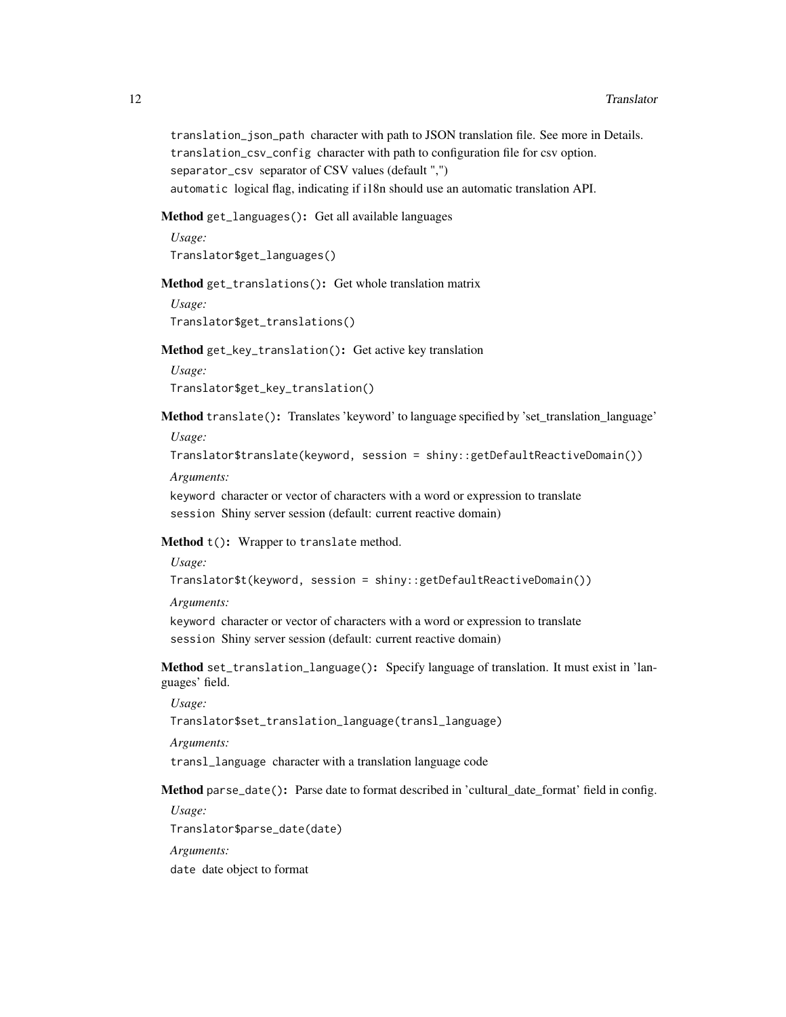translation\_json\_path character with path to JSON translation file. See more in Details. translation\_csv\_config character with path to configuration file for csv option. separator\_csv separator of CSV values (default ",") automatic logical flag, indicating if i18n should use an automatic translation API.

<span id="page-11-0"></span>Method get\_languages(): Get all available languages

*Usage:* Translator\$get\_languages()

<span id="page-11-1"></span>Method get\_translations(): Get whole translation matrix

*Usage:* Translator\$get\_translations()

<span id="page-11-2"></span>Method get\_key\_translation(): Get active key translation

*Usage:*

Translator\$get\_key\_translation()

<span id="page-11-3"></span>Method translate(): Translates 'keyword' to language specified by 'set\_translation\_language' *Usage:*

Translator\$translate(keyword, session = shiny::getDefaultReactiveDomain())

*Arguments:*

keyword character or vector of characters with a word or expression to translate session Shiny server session (default: current reactive domain)

<span id="page-11-4"></span>Method  $t()$ : Wrapper to translate method.

*Usage:*

Translator\$t(keyword, session = shiny::getDefaultReactiveDomain())

*Arguments:*

keyword character or vector of characters with a word or expression to translate session Shiny server session (default: current reactive domain)

<span id="page-11-5"></span>Method set\_translation\_language(): Specify language of translation. It must exist in 'languages' field.

*Usage:*

Translator\$set\_translation\_language(transl\_language)

*Arguments:*

transl\_language character with a translation language code

<span id="page-11-6"></span>Method parse\_date(): Parse date to format described in 'cultural\_date\_format' field in config.

*Usage:*

Translator\$parse\_date(date)

*Arguments:*

<span id="page-11-7"></span>date date object to format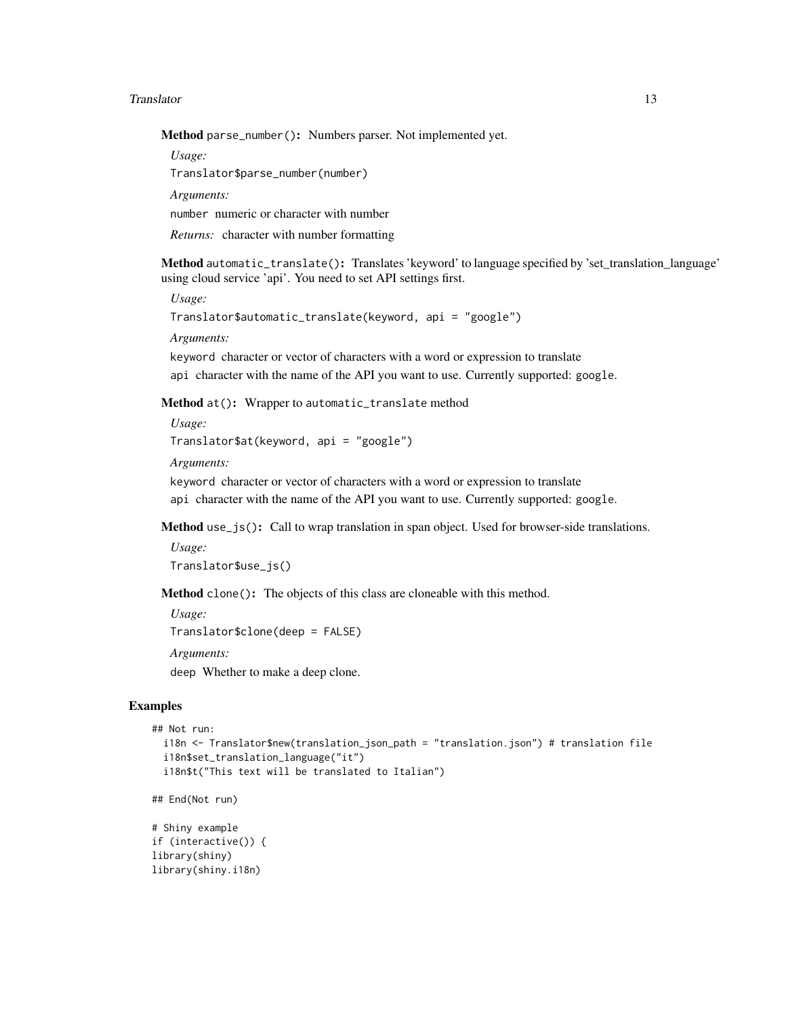#### Translator 13

Method parse\_number(): Numbers parser. Not implemented yet.

*Usage:*

Translator\$parse\_number(number)

*Arguments:*

number numeric or character with number

*Returns:* character with number formatting

<span id="page-12-0"></span>Method automatic\_translate(): Translates 'keyword' to language specified by 'set\_translation\_language' using cloud service 'api'. You need to set API settings first.

*Usage:*

```
Translator$automatic_translate(keyword, api = "google")
```
*Arguments:*

keyword character or vector of characters with a word or expression to translate

api character with the name of the API you want to use. Currently supported: google.

<span id="page-12-1"></span>Method at(): Wrapper to automatic\_translate method

```
Usage:
Translator$at(keyword, api = "google")
```
*Arguments:*

keyword character or vector of characters with a word or expression to translate api character with the name of the API you want to use. Currently supported: google.

<span id="page-12-2"></span>Method use\_js(): Call to wrap translation in span object. Used for browser-side translations.

```
Usage:
Translator$use_js()
```
<span id="page-12-3"></span>Method clone(): The objects of this class are cloneable with this method.

```
Usage:
Translator$clone(deep = FALSE)
Arguments:
deep Whether to make a deep clone.
```
### Examples

```
## Not run:
 i18n <- Translator$new(translation_json_path = "translation.json") # translation file
 i18n$set_translation_language("it")
 i18n$t("This text will be translated to Italian")
```

```
## End(Not run)
```

```
# Shiny example
if (interactive()) {
library(shiny)
library(shiny.i18n)
```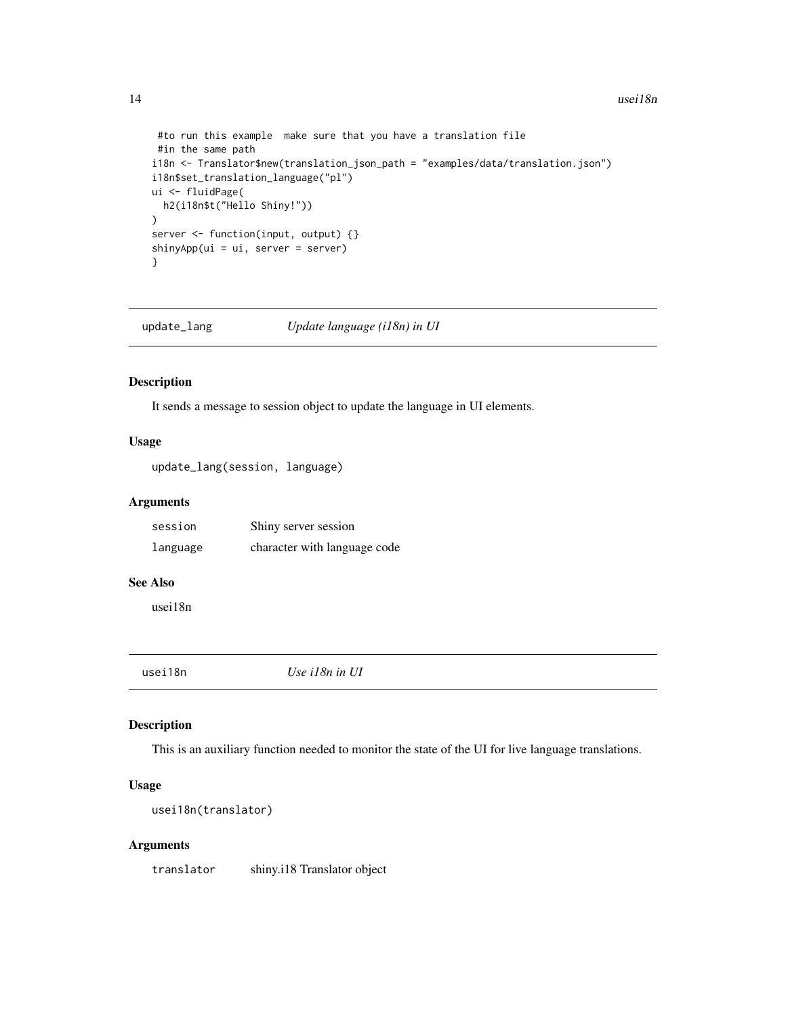```
#to run this example make sure that you have a translation file
 #in the same path
i18n <- Translator$new(translation_json_path = "examples/data/translation.json")
i18n$set_translation_language("pl")
ui <- fluidPage(
 h2(i18n$t("Hello Shiny!"))
)
server <- function(input, output) {}
shinyApp(ui = ui, server = server)
}
```
update\_lang *Update language (i18n) in UI*

#### Description

It sends a message to session object to update the language in UI elements.

# Usage

update\_lang(session, language)

#### Arguments

| session  | Shiny server session         |
|----------|------------------------------|
| language | character with language code |

#### See Also

usei18n

usei18n *Use i18n in UI*

#### Description

This is an auxiliary function needed to monitor the state of the UI for live language translations.

### Usage

```
usei18n(translator)
```
#### Arguments

translator shiny.i18 Translator object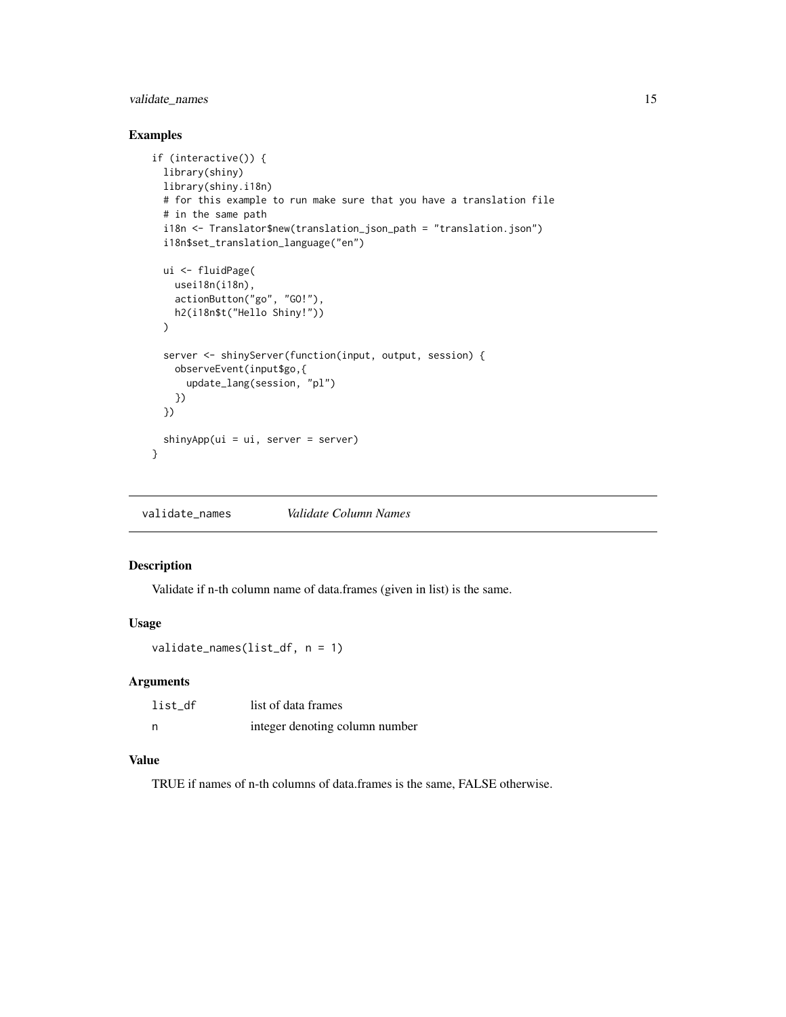# <span id="page-14-0"></span>validate\_names 15

### Examples

```
if (interactive()) {
 library(shiny)
 library(shiny.i18n)
 # for this example to run make sure that you have a translation file
 # in the same path
 i18n <- Translator$new(translation_json_path = "translation.json")
 i18n$set_translation_language("en")
 ui <- fluidPage(
   usei18n(i18n),
   actionButton("go", "GO!"),
   h2(i18n$t("Hello Shiny!"))
 \lambdaserver <- shinyServer(function(input, output, session) {
   observeEvent(input$go,{
      update_lang(session, "pl")
   })
 })
 shinyApp(ui = ui, server = server)
}
```
validate\_names *Validate Column Names*

## Description

Validate if n-th column name of data.frames (given in list) is the same.

#### Usage

validate\_names(list\_df, n = 1)

#### Arguments

| list df | list of data frames            |
|---------|--------------------------------|
| n       | integer denoting column number |

#### Value

TRUE if names of n-th columns of data.frames is the same, FALSE otherwise.